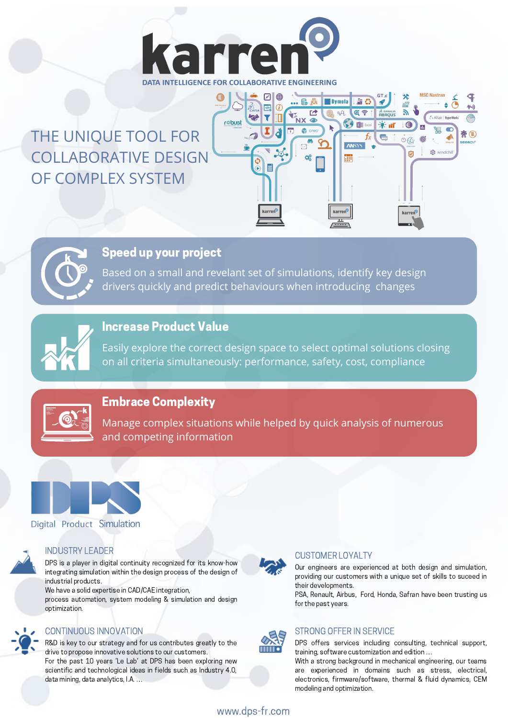

## THE UNIQUE TOOL FOR COLLABORATIVE DESIGN OF COMPLEX SYSTEM





### Speed up your project

Based on a small and revelant set of simulations, identify key design drivers quickly and predict behaviours when introducing changes



### Increase Product Value

Easily explore the correct design space to select optimal solutions closing on all criteria simultaneously: performance, safety, cost, compliance



### Embrace Complexity

Manage complex situations while helped by quick analysis of numerous and competing information



### Digital Product Simulation



DPS is a player in digital continuity recognized for its know-how integrating simulation within the design process of the design of industrial products.

We have a solid expertise in CAD/CAE integration, process automation, system modeling & simulation and design optimization.

### CONTINUOUS INNOVATION STRONG OFFER IN SERVICE

R&D is key to our strategy and for us contributes greatly to the drive to propose innovative solutions to our customers. For the past 10 years 'Le Lab' at DPS has been exploring new scientific and technological ideas in fields such as Industry 4.0, data mining, data analytics, I.A. …



### INDUSTRY LEADER CUSTOMER LOYALTY

Our engineers are experienced at both design and simulation, providing our customers with a unique set of skills to suceed in their developments.

PSA, Renault, Airbus, Ford, Honda, Safran have been trusting us for the past years.



DPS offers services including consulting, technical support, training, software customization and edition …

With a strong background in mechanical engineering, our teams are experienced in domains such as stress, electrical, electronics, firmware/software, thermal & fluid dynamics, CEM modeling and optimization.

www.dps-fr.com